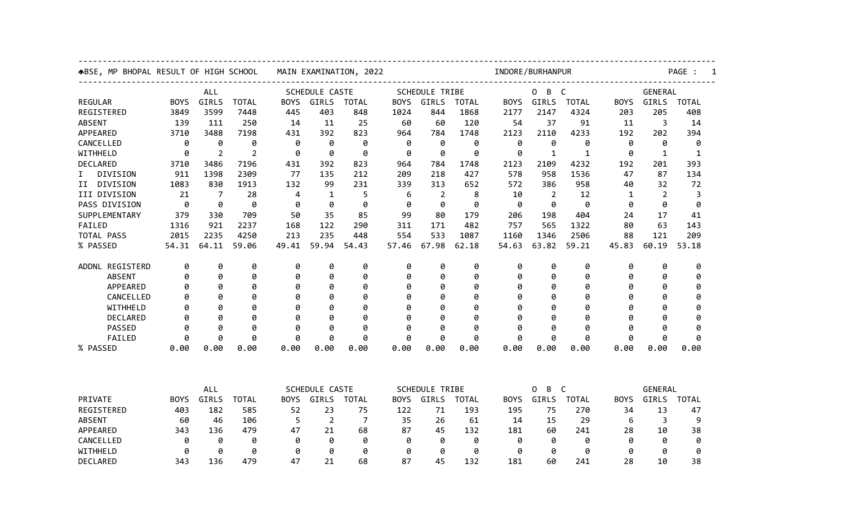| ABSE, MP BHOPAL RESULT OF HIGH SCHOOL | MAIN EXAMINATION, 2022 |                |                |                                                        |                | INDORE/BURHANPUR |                                                               |                |                                                 |             |                        | PAGE :       |             |                |              |  |  |
|---------------------------------------|------------------------|----------------|----------------|--------------------------------------------------------|----------------|------------------|---------------------------------------------------------------|----------------|-------------------------------------------------|-------------|------------------------|--------------|-------------|----------------|--------------|--|--|
|                                       | <b>ALL</b>             |                |                | SCHEDULE CASTE                                         |                |                  |                                                               | SCHEDULE TRIBE |                                                 |             | $\mathsf{C}$<br>0<br>B |              |             | GENERAL        |              |  |  |
| <b>REGULAR</b>                        | <b>BOYS</b>            | GIRLS          | <b>TOTAL</b>   | <b>BOYS</b>                                            | GIRLS          | <b>TOTAL</b>     | <b>BOYS</b>                                                   | GIRLS          | <b>TOTAL</b>                                    | <b>BOYS</b> | <b>GIRLS</b>           | <b>TOTAL</b> | <b>BOYS</b> | GIRLS          | <b>TOTAL</b> |  |  |
| REGISTERED                            | 3849                   | 3599           | 7448           | 445                                                    | 403            | 848              | 1024                                                          | 844            | 1868                                            | 2177        | 2147                   | 4324         | 203         | 205            | 408          |  |  |
| <b>ABSENT</b>                         | 139                    | 111            | 250            | 14                                                     | 11             | 25               | 60                                                            | 60             | 120                                             | 54          | 37                     | 91           | 11          | 3              | 14           |  |  |
| APPEARED                              | 3710                   | 3488           | 7198           | 431                                                    | 392            | 823              | 964                                                           | 784            | 1748                                            | 2123        | 2110                   | 4233         | 192         | 202            | 394          |  |  |
| CANCELLED                             | 0                      | 0              | 0              | ø                                                      | 0              | 0                | 0                                                             | 0              | 0                                               | 0           | 0                      | 0            | 0           | 0              | 0            |  |  |
| WITHHELD                              | Ø                      | $\overline{2}$ | $\overline{2}$ | ø                                                      | ø              | 0                | ø                                                             | ø              | 0                                               | ø           | 1                      | 1            | ø           | $\mathbf{1}$   | 1            |  |  |
| DECLARED                              | 3710                   | 3486           | 7196           | 431                                                    | 392            | 823              | 964                                                           | 784            | 1748                                            | 2123        | 2109                   | 4232         | 192         | 201            | 393          |  |  |
| DIVISION<br>I.                        | 911                    | 1398           | 2309           | 77                                                     | 135            | 212              | 209                                                           | 218            | 427                                             | 578         | 958                    | 1536         | 47          | 87             | 134          |  |  |
| DIVISION<br>II                        | 1083                   | 830            | 1913           | 132                                                    | 99             | 231              | 339                                                           | 313            | 652                                             | 572         | 386                    | 958          | 40          | 32             | 72           |  |  |
| III DIVISION                          | 21                     | 7              | 28             | 4                                                      | $\mathbf{1}$   | 5                | 6                                                             | $\overline{2}$ | 8                                               | 10          | $\overline{2}$         | 12           | 1           | $\overline{2}$ | 3            |  |  |
| PASS DIVISION                         | 0                      | 0              | 0              | 0                                                      | 0              | 0                | 0                                                             | 0              | 0                                               | 0           | 0                      | 0            | 0           | 0              | 0            |  |  |
| SUPPLEMENTARY                         | 379                    | 330            | 709            | 50                                                     | 35             | 85               | 99                                                            | 80             | 179                                             | 206         | 198                    | 404          | 24          | 17             | 41           |  |  |
| FAILED                                | 1316                   | 921            | 2237           | 168                                                    | 122            | 290              | 311                                                           | 171            | 482                                             | 757         | 565                    | 1322         | 80          | 63             | 143          |  |  |
| TOTAL PASS                            | 2015                   | 2235           | 4250           | 213                                                    | 235            | 448              | 554                                                           | 533            | 1087                                            | 1160        | 1346                   | 2506         | 88          | 121            | 209          |  |  |
| % PASSED                              | 54.31                  | 64.11          | 59.06          | 49.41                                                  | 59.94          | 54.43            | 57.46                                                         | 67.98          | 62.18                                           | 54.63       | 63.82                  | 59.21        | 45.83       | 60.19          | 53.18        |  |  |
| ADDNL REGISTERD                       | 0                      | 0              | 0              | 0                                                      | 0              | 0                | 0                                                             | 0              | 0                                               | 0           | 0                      | 0            | 0           | 0              | 0            |  |  |
| <b>ABSENT</b>                         | 0                      | 0              | 0              | 0                                                      | 0              | 0                | 0                                                             | 0              | 0                                               | 0           | 0                      | 0            | 0           | 0              | 0            |  |  |
| APPEARED                              | 0                      | 0              | 0              | 0                                                      | 0              | 0                | 0                                                             | 0              | 0                                               | 0           | 0                      | 0            | 0           | 0              | 0            |  |  |
| CANCELLED                             | Ø                      | ø              | 0              | Ø                                                      | 0              | 0                | Ø                                                             | ø              | 0                                               | Ø           | 0                      | 0            | Ø           | Ø              | Ø            |  |  |
| WITHHELD                              | Ø                      | ø              | 0              | Ø                                                      | 0              | 0                | Ø                                                             | ø              | 0                                               | Ø           | ø                      | 0            | Ø           | Ø              | 0            |  |  |
| DECLARED                              | 0                      | 0              | 0              | ø                                                      | 0              | 0                | 0                                                             | 0              | 0                                               | a           | 0                      | 0            | ø           | 0              | 0            |  |  |
| PASSED                                | 0                      | 0              | 0              | 0                                                      | 0              | 0                | 0                                                             | 0              | 0                                               | 0           | 0                      | 0            | 0           | Ø              | 0            |  |  |
| FAILED                                | ø                      | ø              | ø              | ø                                                      | ø              | 0                | ø                                                             | ø              | ø                                               | a           | ø                      | ø            | a           | ø              | ø            |  |  |
| % PASSED                              | 0.00                   | 0.00           | 0.00           | 0.00                                                   | 0.00           | 0.00             | 0.00                                                          | 0.00           | 0.00                                            | 0.00        | 0.00                   | 0.00         | 0.00        | 0.00           | 0.00         |  |  |
|                                       |                        |                |                |                                                        |                |                  |                                                               |                |                                                 |             |                        |              |             |                |              |  |  |
|                                       |                        | ALL            |                | SCHEDULE CASTE<br><b>BOYS</b><br>GIRLS<br><b>TOTAL</b> |                |                  | <b>SCHEDULE TRIBE</b><br>GIRLS<br><b>TOTAL</b><br><b>BOYS</b> |                | 0<br>B<br>$\mathsf{C}$<br>GIRLS<br><b>TOTAL</b> |             |                        | GENERAL      |             |                |              |  |  |
| PRIVATE                               | <b>BOYS</b>            | GIRLS          | <b>TOTAL</b>   |                                                        |                |                  |                                                               |                |                                                 | <b>BOYS</b> |                        |              | <b>BOYS</b> | GIRLS          | <b>TOTAL</b> |  |  |
| REGISTERED                            | 403                    | 182            | 585            | 52                                                     | 23             | 75               | 122                                                           | 71             | 193                                             | 195         | 75                     | 270          | 34          | 13             | 47           |  |  |
| <b>ABSENT</b>                         | 60                     | 46             | 106            | 5                                                      | $\overline{2}$ | $\overline{7}$   | 35                                                            | 26             | 61                                              | 14          | 15                     | 29           | 6           | 3              | 9            |  |  |
| APPEARED                              | 343                    | 136            | 479            | 47                                                     | 21             | 68               | 87                                                            | 45             | 132                                             | 181         | 60                     | 241          | 28          | 10             | 38           |  |  |
| CANCELLED                             | 0                      | 0              | 0              | 0                                                      | 0              | 0                | 0                                                             | 0              | 0                                               | 0           | 0                      | 0            | 0           | 0              | 0            |  |  |
| WITHHELD                              | 0                      | 0              | 0              | 0                                                      | 0              | 0                | 0                                                             | 0              | 0                                               | ø           | 0                      | 0            | 0           | 0              | 0            |  |  |
| DECLARED                              | 343                    | 136            | 479            | 47                                                     | 21             | 68               | 87                                                            | 45             | 132                                             | 181         | 60                     | 241          | 28          | 10             | 38           |  |  |